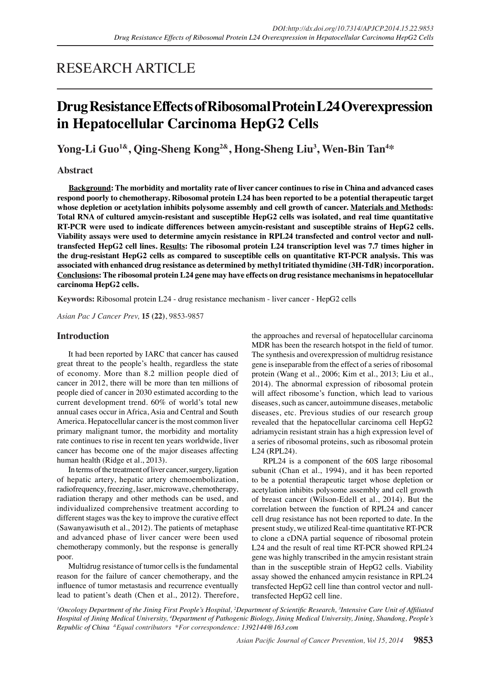# RESEARCH ARTICLE

# **Drug Resistance Effects of Ribosomal Protein L24 Overexpression in Hepatocellular Carcinoma HepG2 Cells**

**Yong-Li Guo1&, Qing-Sheng Kong2&, Hong-Sheng Liu3 , Wen-Bin Tan4 \***

## **Abstract**

**Background: The morbidity and mortality rate of liver cancer continues to rise in China and advanced cases respond poorly to chemotherapy. Ribosomal protein L24 has been reported to be a potential therapeutic target whose depletion or acetylation inhibits polysome assembly and cell growth of cancer. Materials and Methods: Total RNA of cultured amycin-resistant and susceptible HepG2 cells was isolated, and real time quantitative RT-PCR were used to indicate differences between amycin-resistant and susceptible strains of HepG2 cells. Viability assays were used to determine amycin resistance in RPL24 transfected and control vector and nulltransfected HepG2 cell lines. Results: The ribosomal protein L24 transcription level was 7.7 times higher in the drug-resistant HepG2 cells as compared to susceptible cells on quantitative RT-PCR analysis. This was associated with enhanced drug resistance as determined by methyl tritiated thymidine (3H-TdR) incorporation. Conclusions: The ribosomal protein L24 gene may have effects on drug resistance mechanisms in hepatocellular carcinoma HepG2 cells.**

**Keywords:** Ribosomal protein L24 - drug resistance mechanism - liver cancer - HepG2 cells

*Asian Pac J Cancer Prev,* **15 (22)**, 9853-9857

## **Introduction**

It had been reported by IARC that cancer has caused great threat to the people's health, regardless the state of economy. More than 8.2 million people died of cancer in 2012, there will be more than ten millions of people died of cancer in 2030 estimated according to the current development trend. 60% of world's total new annual cases occur in Africa, Asia and Central and South America. Hepatocellular cancer is the most common liver primary malignant tumor, the morbidity and mortality rate continues to rise in recent ten years worldwide, liver cancer has become one of the major diseases affecting human health (Ridge et al., 2013).

In terms of the treatment of liver cancer, surgery, ligation of hepatic artery, hepatic artery chemoembolization, radiofrequency, freezing, laser, microwave, chemotherapy, radiation therapy and other methods can be used, and individualized comprehensive treatment according to different stages was the key to improve the curative effect (Sawanyawisuth et al., 2012). The patients of metaphase and advanced phase of liver cancer were been used chemotherapy commonly, but the response is generally poor.

Multidrug resistance of tumor cells is the fundamental reason for the failure of cancer chemotherapy, and the influence of tumor metastasis and recurrence eventually lead to patient's death (Chen et al., 2012). Therefore,

the approaches and reversal of hepatocellular carcinoma MDR has been the research hotspot in the field of tumor. The synthesis and overexpression of multidrug resistance gene is inseparable from the effect of a series of ribosomal protein (Wang et al., 2006; Kim et al., 2013; Liu et al., 2014). The abnormal expression of ribosomal protein will affect ribosome's function, which lead to various diseases, such as cancer, autoimmune diseases, metabolic diseases, etc. Previous studies of our research group revealed that the hepatocellular carcinoma cell HepG2 adriamycin resistant strain has a high expression level of a series of ribosomal proteins, such as ribosomal protein L24 (RPL24).

RPL24 is a component of the 60S large ribosomal subunit (Chan et al., 1994), and it has been reported to be a potential therapeutic target whose depletion or acetylation inhibits polysome assembly and cell growth of breast cancer (Wilson-Edell et al., 2014). But the correlation between the function of RPL24 and cancer cell drug resistance has not been reported to date. In the present study, we utilized Real-time quantitative RT-PCR to clone a cDNA partial sequence of ribosomal protein L24 and the result of real time RT-PCR showed RPL24 gene was highly transcribed in the amycin resistant strain than in the susceptible strain of HepG2 cells. Viability assay showed the enhanced amycin resistance in RPL24 transfected HepG2 cell line than control vector and nulltransfected HepG2 cell line.

*1 Oncology Department of the Jining First People's Hospital, 2 Department of Scientific Research, <sup>3</sup> Intensive Care Unit of Affiliated Hospital of Jining Medical University, <sup>4</sup> Department of Pathogenic Biology, Jining Medical University, Jining, Shandong, People's Republic of China &Equal contributors \*For correspondence: 1392144@163.com*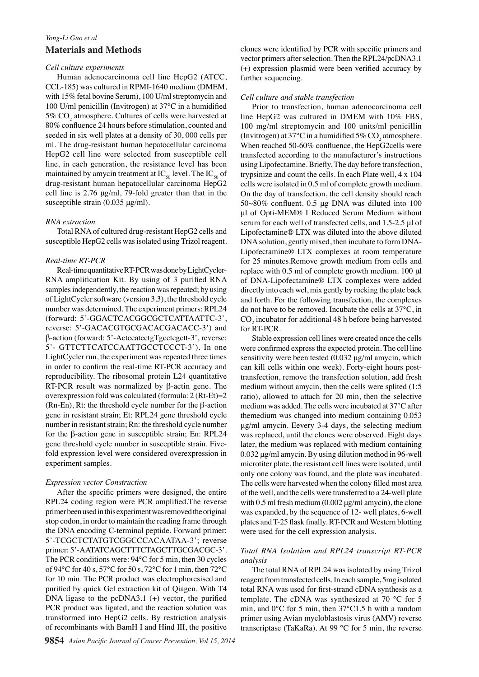# *Yong-Li Guo et al* **Materials and Methods**

### *Cell culture experiments*

Human adenocarcinoma cell line HepG2 (ATCC, CCL-185) was cultured in RPMI-1640 medium (DMEM, with 15% fetal bovine Serum), 100 U/ml streptomycin and 100 U/ml penicillin (Invitrogen) at 37℃ in a humidified 5%  $\mathrm{CO}_2$  atmosphere. Cultures of cells were harvested at 80% confluence 24 hours before stimulation, counted and seeded in six well plates at a density of 30, 000 cells per ml. The drug-resistant human hepatocellular carcinoma HepG2 cell line were selected from susceptible cell line, in each generation, the resistance level has been maintained by amycin treatment at  $IC_{50}$  level. The  $IC_{50}$  of drug-resistant human hepatocellular carcinoma HepG2 cell line is 2.76 μg/ml, 79-fold greater than that in the susceptible strain (0.035 μg/ml).

### *RNA extraction*

Total RNA of cultured drug-resistant HepG2 cells and susceptible HepG2 cells was isolated using Trizol reagent.

### *Real-time RT-PCR*

Real-time quantitative RT-PCR was done by LightCycler-RNA amplification Kit. By using of 3 purified RNA samples independently, the reaction was repeated; by using of LightCycler software (version 3.3), the threshold cycle number was determined. The experiment primers: RPL24 (forward: 5'-GGACTCACGGCGCTCATTAATTC-3', reverse: 5'-GACACGTGCGACACGACACC-3') and β-action (forward: 5'-ActccatcctgTgcctcgctt-3', reverse: 5'- GTTCTTCATCCAATTGCCTCCCT-3'). In one LightCycler run, the experiment was repeated three times in order to confirm the real-time RT-PCR accuracy and reproducibility. The ribosomal protein L24 quantitative RT-PCR result was normalized by β-actin gene. The overexpression fold was calculated (formula: 2 (Rt-Et)=2 (Rn-En), Rt: the threshold cycle number for the  $\beta$ -action gene in resistant strain; Et: RPL24 gene threshold cycle number in resistant strain; Rn: the threshold cycle number for the β-action gene in susceptible strain; En: RPL24 gene threshold cycle number in susceptible strain. Fivefold expression level were considered overexpression in experiment samples.

## *Expression vector Construction*

After the specific primers were designed, the entire RPL24 coding region were PCR amplified.The reverse primer been used in this experiment was removed the original stop codon, in order to maintain the reading frame through the DNA encoding C-terminal peptide. Forward primer: 5'-TCGCTCTATGTCGGCCCACAATAA-3'; reverse primer: 5'-AATATCAGCTTTCTAGCTTGCGACGC-3'. The PCR conditions were: 94℃ for 5 min, then 30 cycles of 94℃ for 40 s, 57℃ for 50 s, 72℃ for 1 min, then 72℃ for 10 min. The PCR product was electrophoresised and purified by quick Gel extraction kit of Qiagen. With T4 DNA ligase to the pcDNA3.1 (+) vector, the purified PCR product was ligated, and the reaction solution was transformed into HepG2 cells. By restriction analysis of recombinants with BamH I and Hind III, the positive

clones were identified by PCR with specific primers and vector primers after selection. Then the RPL24/pcDNA3.1 (+) expression plasmid were been verified accuracy by further sequencing.

### *Cell culture and stable transfection*

Prior to transfection, human adenocarcinoma cell line HepG2 was cultured in DMEM with 10% FBS, 100 mg/ml streptomycin and 100 units/ml penicillin (Invitrogen) at 37°C in a humidified  $5\%$  CO<sub>2</sub> atmosphere. When reached 50-60% confluence, the HepG2cells were transfected according to the manufacturer's instructions using Lipofectamine. Briefly, The day before transfection, trypsinize and count the cells. In each Plate well, 4 x 104 cells were isolated in 0.5 ml of complete growth medium. On the day of transfection, the cell density should reach 50~80% confluent. 0.5 μg DNA was diluted into 100 μl of Opti-MEM® I Reduced Serum Medium without serum for each well of transfected cells, and 1.5-2.5 μl of Lipofectamine® LTX was diluted into the above diluted DNA solution, gently mixed, then incubate to form DNA-Lipofectamine® LTX complexes at room temperature for 25 minutes.Remove growth medium from cells and replace with 0.5 ml of complete growth medium. 100 μl of DNA-Lipofectamine® LTX complexes were added directly into each wel, mix gently by rocking the plate back and forth. For the following transfection, the complexes do not have to be removed. Incubate the cells at 37℃, in  $CO<sub>2</sub>$  incubator for additional 48 h before being harvested for RT-PCR.

Stable expression cell lines were created once the cells were confirmed express the expected protein. The cell line sensitivity were been tested (0.032 μg/ml amycin, which can kill cells within one week). Forty-eight hours posttransfection, remove the transfection solution, add fresh medium without amycin, then the cells were splited (1:5 ratio), allowed to attach for 20 min, then the selective medium was added. The cells were incubated at 37℃ after themedium was changed into medium containing 0.053 μg/ml amycin. Eevery 3-4 days, the selecting medium was replaced, until the clones were observed. Eight days later, the medium was replaced with medium containing 0.032 μg/ml amycin. By using dilution method in 96-well microtiter plate, the resistant cell lines were isolated, until only one colony was found, and the plate was incubated. The cells were harvested when the colony filled most area of the well, and the cells were transferred to a 24-well plate with  $0.5$  ml fresh medium  $(0.002 \mu g/ml$  amycin), the clone was expanded, by the sequence of 12- well plates, 6-well plates and T-25 flask finally. RT-PCR and Western blotting were used for the cell expression analysis.

## *Total RNA Isolation and RPL24 transcript RT-PCR analysis*

The total RNA of RPL24 was isolated by using Trizol reagent from transfected cells. In each sample, 5mg isolated total RNA was used for first-strand cDNA synthesis as a template. The cDNA was synthesized at 70 ℃ for 5 min, and 0℃ for 5 min, then 37℃1.5 h with a random primer using Avian myeloblastosis virus (AMV) reverse transcriptase (TaKaRa). At 99 ℃ for 5 min, the reverse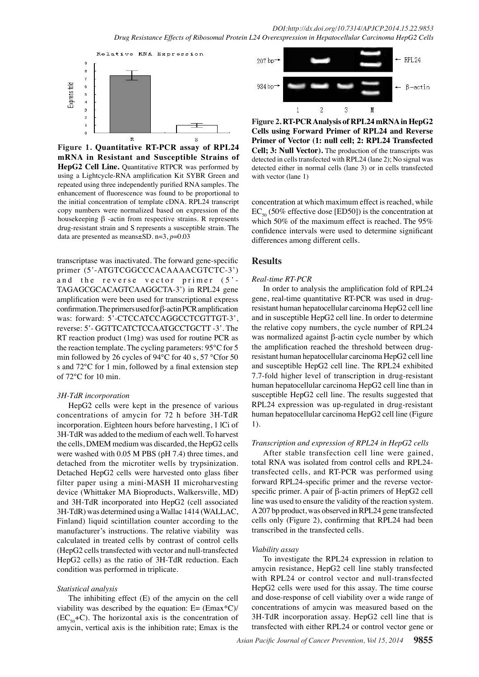

**Figure 1. Quantitative RT-PCR assay of RPL24 mRNA in Resistant and Susceptible Strains of HepG2 Cell Line.** Quantitative RTPCR was performed by using a Lightcycle-RNA amplification Kit SYBR Green and repeated using three independently purified RNA samples. The enhancement of fluorescence was found to be proportional to the initial concentration of template cDNA. RPL24 transcript copy numbers were normalized based on expression of the housekeeping β -actin from respective strains. R represents drug-resistant strain and S represents a susceptible strain. The data are presented as means±SD. n=3, *p*=0.03

transcriptase was inactivated. The forward gene-specific primer (5'-ATGTCGGCCCACAAAACGTCTC-3') and the reverse vector primer (5'-TAGAGCGCACAGTCAAGGCTA-3') in RPL24 gene amplification were been used for transcriptional express confirmation. The primers used for β-actin PCR amplification was: forward: 5'-CTCCATCCAGGCCTCGTTGT-3', reverse: 5'- GGTTCATCTCCAATGCCTGCTT -3'. The RT reaction product (1mg) was used for routine PCR as the reaction template. The cycling parameters: 95℃ for 5 min followed by 26 cycles of 94℃ for 40 s, 57 ℃for 50 s and 72℃ for 1 min, followed by a final extension step of 72℃ for 10 min.

#### *3H-TdR incorporation*

HepG2 cells were kept in the presence of various concentrations of amycin for 72 h before 3H-TdR incorporation. Eighteen hours before harvesting, 1 lCi of 3H-TdR was added to the medium of each well. To harvest the cells, DMEM medium was discarded, the HepG2 cells were washed with 0.05 M PBS (pH 7.4) three times, and detached from the microtiter wells by trypsinization. Detached HepG2 cells were harvested onto glass fiber filter paper using a mini-MASH II microharvesting device (Whittaker MA Bioproducts, Walkersville, MD) and 3H-TdR incorporated into HepG2 (cell associated 3H-TdR) was determined using a Wallac 1414 (WALLAC, Finland) liquid scintillation counter according to the manufacturer's instructions. The relative viability was calculated in treated cells by contrast of control cells (HepG2 cells transfected with vector and null-transfected HepG2 cells) as the ratio of 3H-TdR reduction. Each condition was performed in triplicate.

#### *Statistical analysis*

The inhibiting effect (E) of the amycin on the cell viability was described by the equation:  $E=$  (Emax\*C)/  $(EC_{50}+C)$ . The horizontal axis is the concentration of amycin, vertical axis is the inhibition rate; Emax is the



**Figure 2. RT-PCR Analysis of RPL24 mRNA in HepG2 Cells using Forward Primer of RPL24 and Reverse Primer of Vector (1: null cell; 2: RPL24 Transfected Cell; 3: Null Vector).** The production of the transcripts was detected in cells transfected with RPL24 (lane 2); No signal was detected either in normal cells (lane 3) or in cells transfected with vector (lane 1)

concentration at which maximum effect is reached, while  $EC_{50}$  (50% effective dose [ED50]) is the concentration at which 50% of the maximum effect is reached. The 95% confidence intervals were used to determine significant differences among different cells.

### **Results**

#### *Real-time RT-PCR*

In order to analysis the amplification fold of RPL24 gene, real-time quantitative RT-PCR was used in drugresistant human hepatocellular carcinoma HepG2 cell line and in susceptible HepG2 cell line. In order to determine the relative copy numbers, the cycle number of RPL24 was normalized against β-actin cycle number by which the amplification reached the threshold between drugresistant human hepatocellular carcinoma HepG2 cell line and susceptible HepG2 cell line. The RPL24 exhibited 7.7-fold higher level of transcription in drug-resistant human hepatocellular carcinoma HepG2 cell line than in susceptible HepG2 cell line. The results suggested that RPL24 expression was up-regulated in drug-resistant human hepatocellular carcinoma HepG2 cell line (Figure 1).

#### *Transcription and expression of RPL24 in HepG2 cells*

After stable transfection cell line were gained, total RNA was isolated from control cells and RPL24 transfected cells, and RT-PCR was performed using forward RPL24-specific primer and the reverse vectorspecific primer. A pair of β-actin primers of HepG2 cell line was used to ensure the validity of the reaction system. A 207 bp product, was observed in RPL24 gene transfected cells only (Figure 2), confirming that RPL24 had been transcribed in the transfected cells.

#### *Viability assay*

To investigate the RPL24 expression in relation to amycin resistance, HepG2 cell line stably transfected with RPL24 or control vector and null-transfected HepG2 cells were used for this assay. The time course and dose-response of cell viability over a wide range of concentrations of amycin was measured based on the 3H-TdR incorporation assay. HepG2 cell line that is transfected with either RPL24 or control vector gene or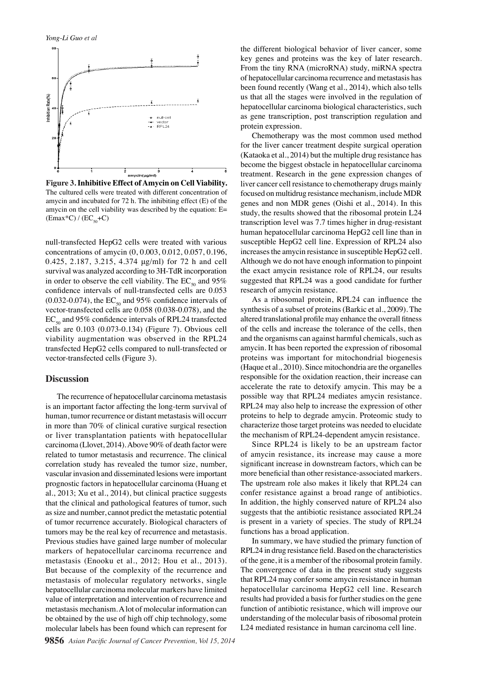

**Figure 3. Inhibitive Effect of Amycin on Cell Viability.**  The cultured cells were treated with different concentration of amycin and incubated for 72 h. The inhibiting effect (E) of the amycin on the cell viability was described by the equation: E=  $(Emax*C) / (EC<sub>so</sub>+C)$ 

null-transfected HepG2 cells were treated with various concentrations of amycin (0, 0.003, 0.012, 0.057, 0.196, 0.425, 2.187, 3.215, 4.374 μg/ml) for 72 h and cell survival was analyzed according to 3H-TdR incorporation in order to observe the cell viability. The  $EC_{so}$  and 95% confidence intervals of null-transfected cells are 0.053 (0.032-0.074), the  $EC_{50}$  and 95% confidence intervals of vector-transfected cells are 0.058 (0.038-0.078), and the  $EC_{50}$  and 95% confidence intervals of RPL24 transfected cells are 0.103 (0.073-0.134) (Figure 7). Obvious cell viability augmentation was observed in the RPL24 transfected HepG2 cells compared to null-transfected or vector-transfected cells (Figure 3).

#### **Discussion**

The recurrence of hepatocellular carcinoma metastasis is an important factor affecting the long-term survival of human, tumor recurrence or distant metastasis will occurr in more than 70% of clinical curative surgical resection or liver transplantation patients with hepatocellular carcinoma (Llovet, 2014). Above 90% of death factor were related to tumor metastasis and recurrence. The clinical correlation study has revealed the tumor size, number, vascular invasion and disseminated lesions were important prognostic factors in hepatocellular carcinoma (Huang et al., 2013; Xu et al., 2014), but clinical practice suggests that the clinical and pathological features of tumor, such as size and number, cannot predict the metastatic potential of tumor recurrence accurately. Biological characters of tumors may be the real key of recurrence and metastasis. Previous studies have gained large number of molecular markers of hepatocellular carcinoma recurrence and metastasis (Enooku et al., 2012; Hou et al., 2013). But because of the complexity of the recurrence and metastasis of molecular regulatory networks, single hepatocellular carcinoma molecular markers have limited value of interpretation and intervention of recurrence and metastasis mechanism. A lot of molecular information can be obtained by the use of high off chip technology, some molecular labels has been found which can represent for

the different biological behavior of liver cancer, some key genes and proteins was the key of later research. From the tiny RNA (microRNA) study, miRNA spectra of hepatocellular carcinoma recurrence and metastasis has been found recently (Wang et al., 2014), which also tells us that all the stages were involved in the regulation of hepatocellular carcinoma biological characteristics, such as gene transcription, post transcription regulation and protein expression.

Chemotherapy was the most common used method for the liver cancer treatment despite surgical operation (Kataoka et al., 2014) but the multiple drug resistance has become the biggest obstacle in hepatocellular carcinoma treatment. Research in the gene expression changes of liver cancer cell resistance to chemotherapy drugs mainly focused on multidrug resistance mechanism, include MDR genes and non MDR genes (Oishi et al., 2014). In this study, the results showed that the ribosomal protein L24 transcription level was 7.7 times higher in drug-resistant human hepatocellular carcinoma HepG2 cell line than in susceptible HepG2 cell line. Expression of RPL24 also increases the amycin resistance in susceptible HepG2 cell. Although we do not have enough information to pinpoint the exact amycin resistance role of RPL24, our results suggested that RPL24 was a good candidate for further research of amycin resistance.

As a ribosomal protein, RPL24 can influence the synthesis of a subset of proteins (Barkic et al., 2009). The altered translational profile may enhance the overall fitness of the cells and increase the tolerance of the cells, then and the organisms can against harmful chemicals, such as amycin. It has been reported the expression of ribosomal proteins was important for mitochondrial biogenesis (Haque et al., 2010). Since mitochondria are the organelles responsible for the oxidation reaction, their increase can accelerate the rate to detoxify amycin. This may be a possible way that RPL24 mediates amycin resistance. RPL24 may also help to increase the expression of other proteins to help to degrade amycin. Proteomic study to characterize those target proteins was needed to elucidate the mechanism of RPL24-dependent amycin resistance.

Since RPL24 is likely to be an upstream factor of amycin resistance, its increase may cause a more significant increase in downstream factors, which can be more beneficial than other resistance-associated markers. The upstream role also makes it likely that RPL24 can confer resistance against a broad range of antibiotics. In addition, the highly conserved nature of RPL24 also suggests that the antibiotic resistance associated RPL24 is present in a variety of species. The study of RPL24 functions has a broad application.

In summary, we have studied the primary function of RPL24 in drug resistance field. Based on the characteristics of the gene, it is a member of the ribosomal protein family. The convergence of data in the present study suggests that RPL24 may confer some amycin resistance in human hepatocellular carcinoma HepG2 cell line. Research results had provided a basis for further studies on the gene function of antibiotic resistance, which will improve our understanding of the molecular basis of ribosomal protein L24 mediated resistance in human carcinoma cell line.